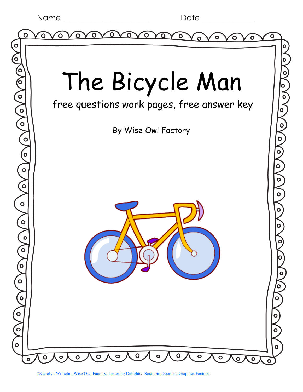|  |  |  | Name |
|--|--|--|------|
|--|--|--|------|

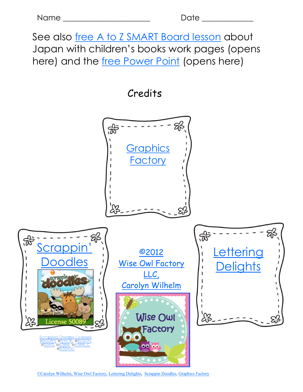See also [free A to Z SMART Board lesson](http://www.thewiseowlfactory.com/JapanSnapshot.notebook) about Japan with children's books work pages (opens here) and the [free Power Point](http://www.thewiseowlfactory.com/aSnapshotofJapan.ppt) (opens here)

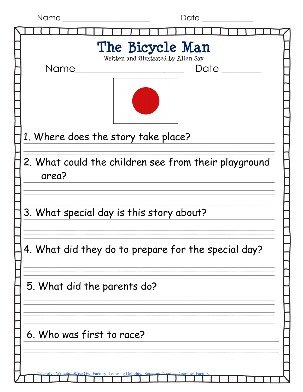| Name<br>Date                                                  |  |  |  |
|---------------------------------------------------------------|--|--|--|
|                                                               |  |  |  |
| The Bicycle Man<br>Written and illustrated by Allen Say       |  |  |  |
| <b>Name</b><br>Date                                           |  |  |  |
|                                                               |  |  |  |
| 1. Where does the story take place?                           |  |  |  |
| 2. What could the children see from their playground<br>area? |  |  |  |
| 3. What special day is this story about?                      |  |  |  |
| 4. What did they do to prepare for the special day?           |  |  |  |
| 5. What did the parents do?                                   |  |  |  |
| 6. Who was first to race?                                     |  |  |  |
| ering Delights                                                |  |  |  |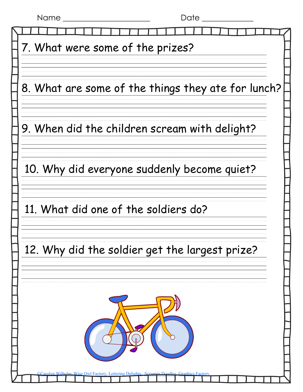| Date<br>Name                                       |  |  |  |  |
|----------------------------------------------------|--|--|--|--|
|                                                    |  |  |  |  |
| 7. What were some of the prizes?                   |  |  |  |  |
|                                                    |  |  |  |  |
|                                                    |  |  |  |  |
| 8. What are some of the things they ate for lunch? |  |  |  |  |
|                                                    |  |  |  |  |
|                                                    |  |  |  |  |
| 9. When did the children scream with delight?      |  |  |  |  |
|                                                    |  |  |  |  |
|                                                    |  |  |  |  |
| 10. Why did everyone suddenly become quiet?        |  |  |  |  |
|                                                    |  |  |  |  |
|                                                    |  |  |  |  |
| 11. What did one of the soldiers do?               |  |  |  |  |
|                                                    |  |  |  |  |
|                                                    |  |  |  |  |
| 12. Why did the soldier get the largest prize?     |  |  |  |  |
|                                                    |  |  |  |  |
|                                                    |  |  |  |  |
|                                                    |  |  |  |  |
|                                                    |  |  |  |  |
|                                                    |  |  |  |  |
|                                                    |  |  |  |  |
|                                                    |  |  |  |  |
|                                                    |  |  |  |  |
|                                                    |  |  |  |  |
| <b>Owl Factory.</b> Lettering Delights             |  |  |  |  |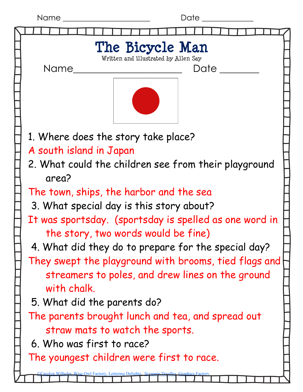| <b>Name</b> |  |
|-------------|--|
|             |  |

Date  $\overline{a}$ 

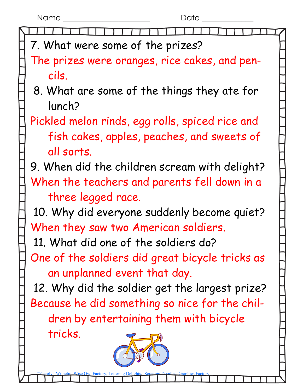